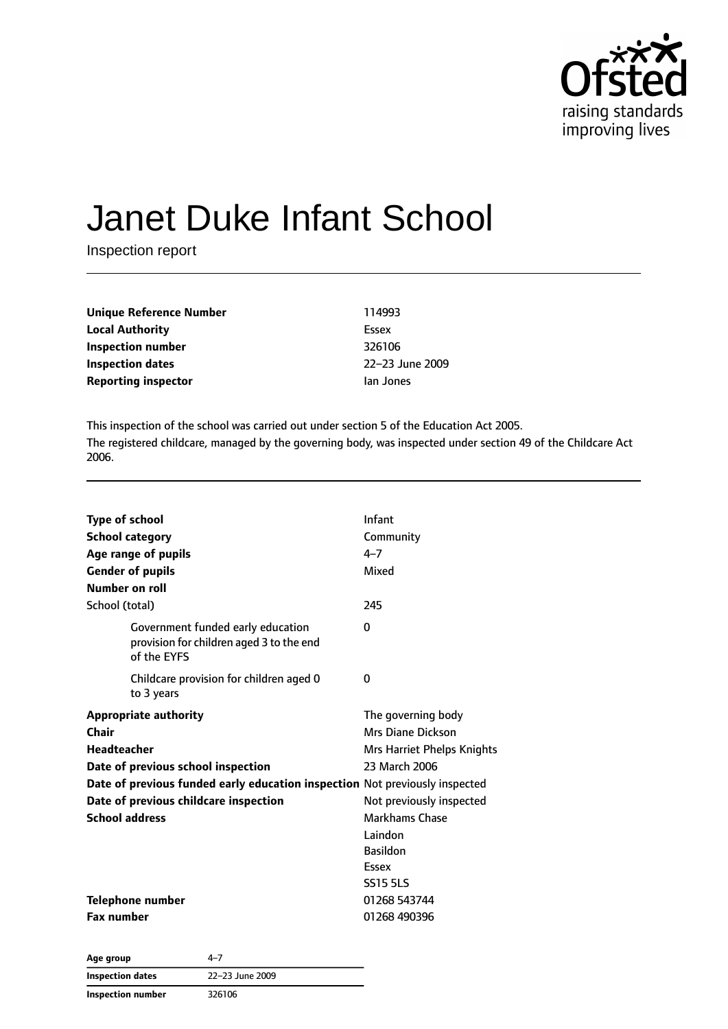

# Janet Duke Infant School

Inspection report

| Unique Reference Number    | 114993          |
|----------------------------|-----------------|
| <b>Local Authority</b>     | Essex           |
| Inspection number          | 326106          |
| <b>Inspection dates</b>    | 22-23 June 2009 |
| <b>Reporting inspector</b> | lan Jones       |

This inspection of the school was carried out under section 5 of the Education Act 2005. The registered childcare, managed by the governing body, was inspected under section 49 of the Childcare Act 2006.

| <b>Type of school</b><br><b>School category</b><br>Age range of pupils<br><b>Gender of pupils</b><br>Number on roll<br>School (total)                                                                                                              | Infant<br>Community<br>$4 - 7$<br>Mixed<br>245                                                                                                                                                 |
|----------------------------------------------------------------------------------------------------------------------------------------------------------------------------------------------------------------------------------------------------|------------------------------------------------------------------------------------------------------------------------------------------------------------------------------------------------|
| Government funded early education<br>provision for children aged 3 to the end<br>of the EYFS                                                                                                                                                       | 0                                                                                                                                                                                              |
| Childcare provision for children aged 0<br>to 3 years                                                                                                                                                                                              | 0                                                                                                                                                                                              |
| <b>Appropriate authority</b><br>Chair<br><b>Headteacher</b><br>Date of previous school inspection<br>Date of previous funded early education inspection Not previously inspected<br>Date of previous childcare inspection<br><b>School address</b> | The governing body<br>Mrs Diane Dickson<br>Mrs Harriet Phelps Knights<br>23 March 2006<br>Not previously inspected<br>Markhams Chase<br>Laindon<br><b>Basildon</b><br>Essex<br><b>SS15 5LS</b> |
| Telephone number<br><b>Fax number</b>                                                                                                                                                                                                              | 01268 543744<br>01268 490396                                                                                                                                                                   |

| Age group               | 4–7             |
|-------------------------|-----------------|
| <b>Inspection dates</b> | 22-23 June 2009 |
| Inspection number       | 326106          |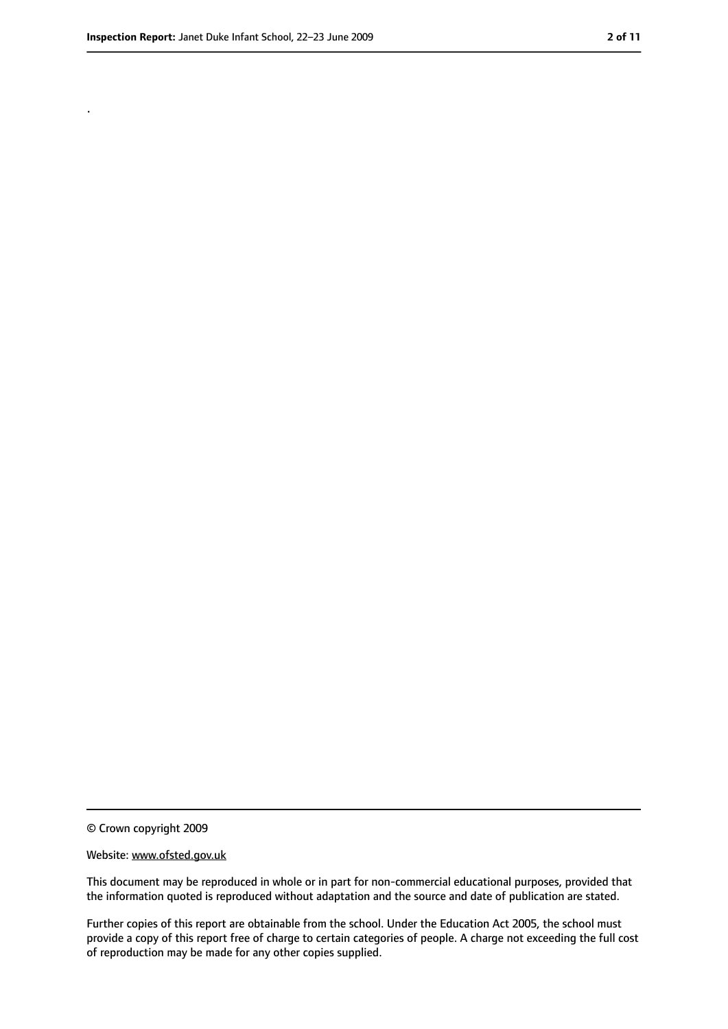.

<sup>©</sup> Crown copyright 2009

Website: www.ofsted.gov.uk

This document may be reproduced in whole or in part for non-commercial educational purposes, provided that the information quoted is reproduced without adaptation and the source and date of publication are stated.

Further copies of this report are obtainable from the school. Under the Education Act 2005, the school must provide a copy of this report free of charge to certain categories of people. A charge not exceeding the full cost of reproduction may be made for any other copies supplied.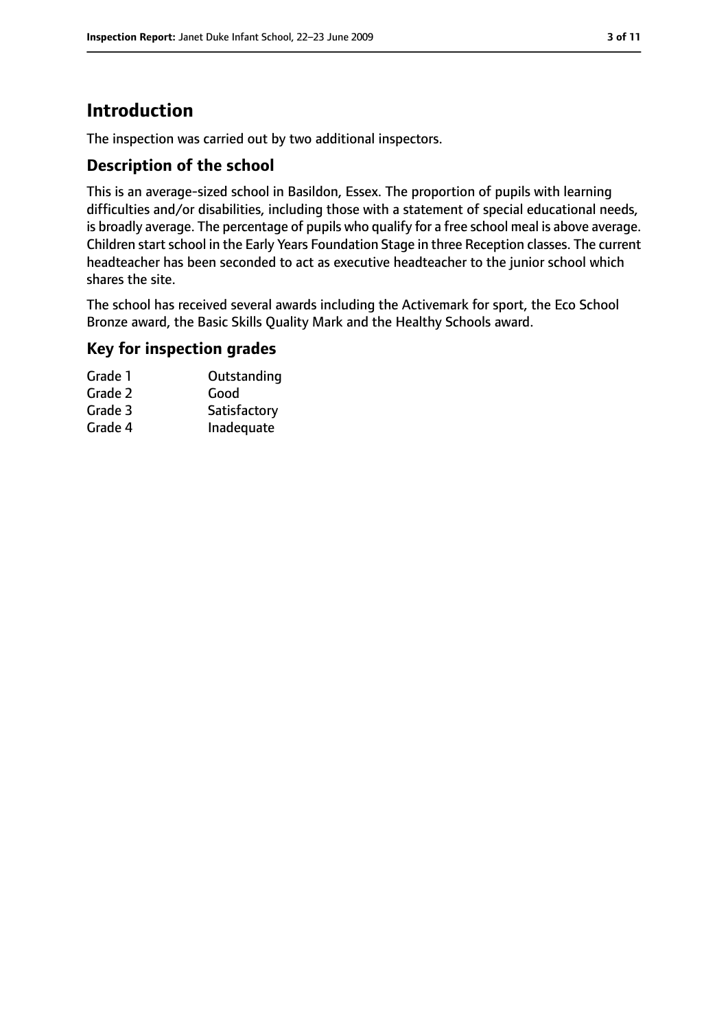# **Introduction**

The inspection was carried out by two additional inspectors.

#### **Description of the school**

This is an average-sized school in Basildon, Essex. The proportion of pupils with learning difficulties and/or disabilities, including those with a statement of special educational needs, is broadly average. The percentage of pupils who qualify for a free school meal is above average. Children start school in the Early Years Foundation Stage in three Reception classes. The current headteacher has been seconded to act as executive headteacher to the junior school which shares the site.

The school has received several awards including the Activemark for sport, the Eco School Bronze award, the Basic Skills Quality Mark and the Healthy Schools award.

# **Key for inspection grades**

| Grade 1 | Outstanding  |
|---------|--------------|
| Grade 2 | Good         |
| Grade 3 | Satisfactory |
| Grade 4 | Inadequate   |
|         |              |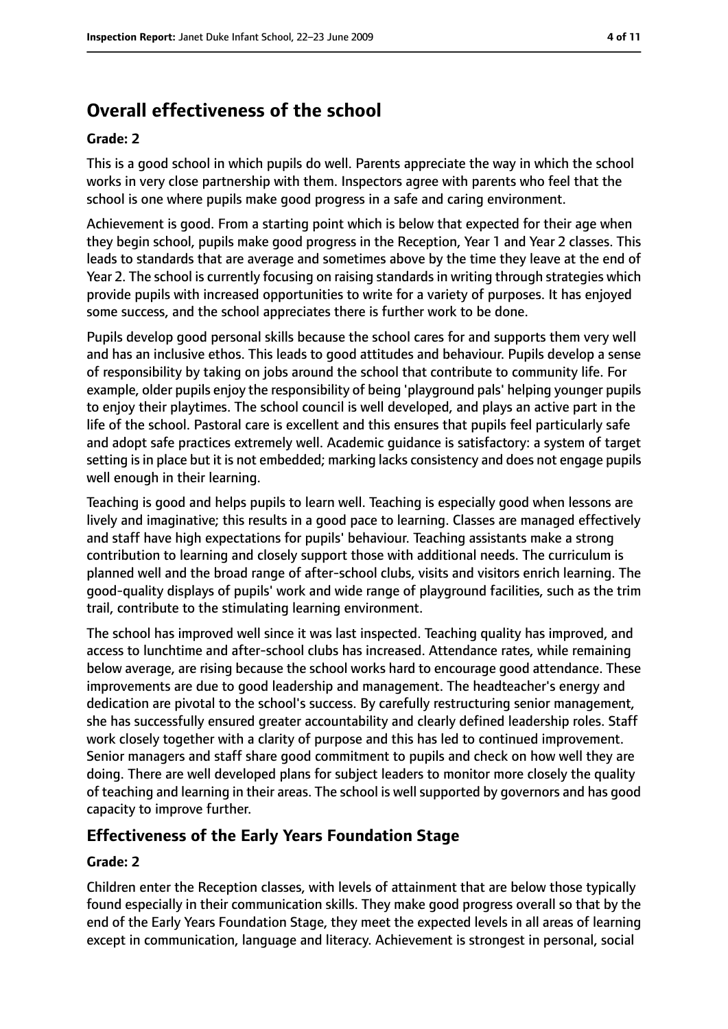# **Overall effectiveness of the school**

#### **Grade: 2**

This is a good school in which pupils do well. Parents appreciate the way in which the school works in very close partnership with them. Inspectors agree with parents who feel that the school is one where pupils make good progress in a safe and caring environment.

Achievement is good. From a starting point which is below that expected for their age when they begin school, pupils make good progress in the Reception, Year 1 and Year 2 classes. This leads to standards that are average and sometimes above by the time they leave at the end of Year 2. The school is currently focusing on raising standards in writing through strategies which provide pupils with increased opportunities to write for a variety of purposes. It has enjoyed some success, and the school appreciates there is further work to be done.

Pupils develop good personal skills because the school cares for and supports them very well and has an inclusive ethos. This leads to good attitudes and behaviour. Pupils develop a sense of responsibility by taking on jobs around the school that contribute to community life. For example, older pupils enjoy the responsibility of being 'playground pals' helping younger pupils to enjoy their playtimes. The school council is well developed, and plays an active part in the life of the school. Pastoral care is excellent and this ensures that pupils feel particularly safe and adopt safe practices extremely well. Academic guidance is satisfactory: a system of target setting is in place but it is not embedded; marking lacks consistency and does not engage pupils well enough in their learning.

Teaching is good and helps pupils to learn well. Teaching is especially good when lessons are lively and imaginative; this results in a good pace to learning. Classes are managed effectively and staff have high expectations for pupils' behaviour. Teaching assistants make a strong contribution to learning and closely support those with additional needs. The curriculum is planned well and the broad range of after-school clubs, visits and visitors enrich learning. The good-quality displays of pupils' work and wide range of playground facilities, such as the trim trail, contribute to the stimulating learning environment.

The school has improved well since it was last inspected. Teaching quality has improved, and access to lunchtime and after-school clubs has increased. Attendance rates, while remaining below average, are rising because the school works hard to encourage good attendance. These improvements are due to good leadership and management. The headteacher's energy and dedication are pivotal to the school's success. By carefully restructuring senior management, she has successfully ensured greater accountability and clearly defined leadership roles. Staff work closely together with a clarity of purpose and this has led to continued improvement. Senior managers and staff share good commitment to pupils and check on how well they are doing. There are well developed plans for subject leaders to monitor more closely the quality of teaching and learning in their areas. The school is well supported by governors and has good capacity to improve further.

## **Effectiveness of the Early Years Foundation Stage**

#### **Grade: 2**

Children enter the Reception classes, with levels of attainment that are below those typically found especially in their communication skills. They make good progress overall so that by the end of the Early Years Foundation Stage, they meet the expected levels in all areas of learning except in communication, language and literacy. Achievement is strongest in personal, social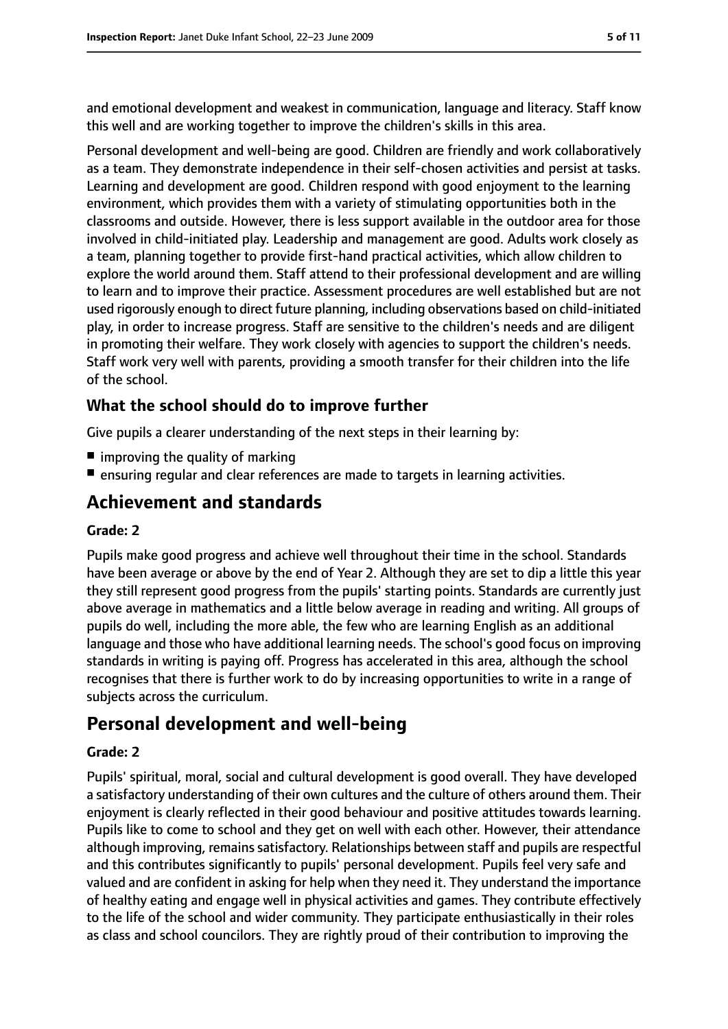and emotional development and weakest in communication, language and literacy. Staff know this well and are working together to improve the children's skills in this area.

Personal development and well-being are good. Children are friendly and work collaboratively as a team. They demonstrate independence in their self-chosen activities and persist at tasks. Learning and development are good. Children respond with good enjoyment to the learning environment, which provides them with a variety of stimulating opportunities both in the classrooms and outside. However, there is less support available in the outdoor area for those involved in child-initiated play. Leadership and management are good. Adults work closely as a team, planning together to provide first-hand practical activities, which allow children to explore the world around them. Staff attend to their professional development and are willing to learn and to improve their practice. Assessment procedures are well established but are not used rigorously enough to direct future planning, including observations based on child-initiated play, in order to increase progress. Staff are sensitive to the children's needs and are diligent in promoting their welfare. They work closely with agencies to support the children's needs. Staff work very well with parents, providing a smooth transfer for their children into the life of the school.

#### **What the school should do to improve further**

Give pupils a clearer understanding of the next steps in their learning by:

- $\blacksquare$  improving the quality of marking
- ensuring regular and clear references are made to targets in learning activities.

# **Achievement and standards**

#### **Grade: 2**

Pupils make good progress and achieve well throughout their time in the school. Standards have been average or above by the end of Year 2. Although they are set to dip a little this year they still represent good progress from the pupils' starting points. Standards are currently just above average in mathematics and a little below average in reading and writing. All groups of pupils do well, including the more able, the few who are learning English as an additional language and those who have additional learning needs. The school's good focus on improving standards in writing is paying off. Progress has accelerated in this area, although the school recognises that there is further work to do by increasing opportunities to write in a range of subjects across the curriculum.

# **Personal development and well-being**

#### **Grade: 2**

Pupils' spiritual, moral, social and cultural development is good overall. They have developed a satisfactory understanding of their own cultures and the culture of others around them. Their enjoyment is clearly reflected in their good behaviour and positive attitudes towards learning. Pupils like to come to school and they get on well with each other. However, their attendance although improving, remains satisfactory. Relationships between staff and pupils are respectful and this contributes significantly to pupils' personal development. Pupils feel very safe and valued and are confident in asking for help when they need it. They understand the importance of healthy eating and engage well in physical activities and games. They contribute effectively to the life of the school and wider community. They participate enthusiastically in their roles as class and school councilors. They are rightly proud of their contribution to improving the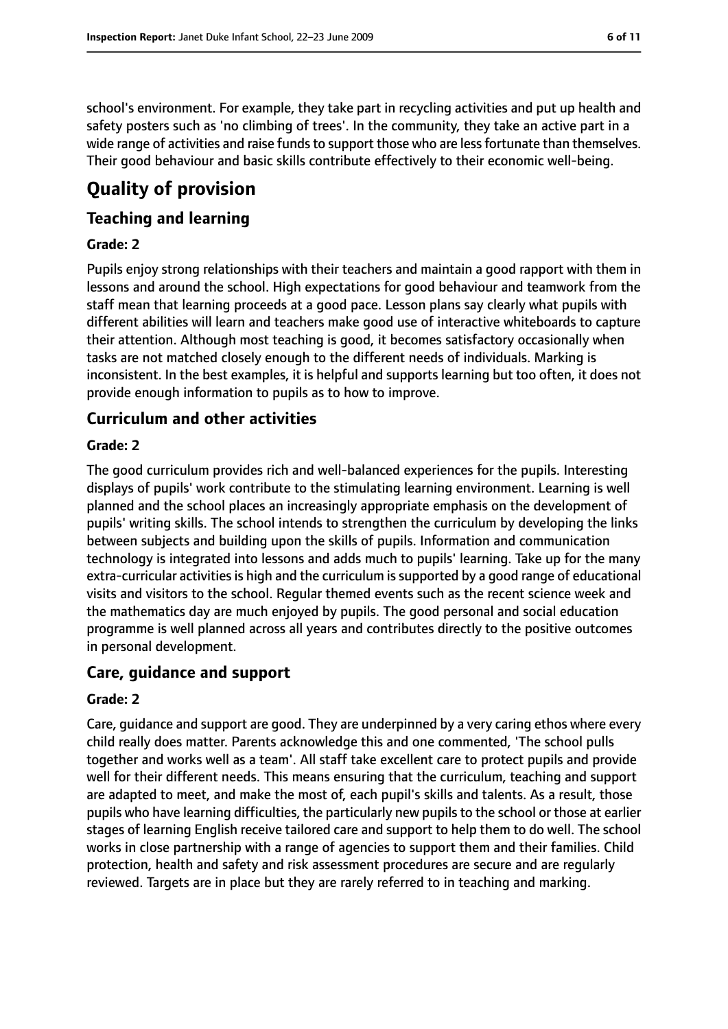school's environment. For example, they take part in recycling activities and put up health and safety posters such as 'no climbing of trees'. In the community, they take an active part in a wide range of activities and raise funds to support those who are less fortunate than themselves. Their good behaviour and basic skills contribute effectively to their economic well-being.

# **Quality of provision**

## **Teaching and learning**

#### **Grade: 2**

Pupils enjoy strong relationships with their teachers and maintain a good rapport with them in lessons and around the school. High expectations for good behaviour and teamwork from the staff mean that learning proceeds at a good pace. Lesson plans say clearly what pupils with different abilities will learn and teachers make good use of interactive whiteboards to capture their attention. Although most teaching is good, it becomes satisfactory occasionally when tasks are not matched closely enough to the different needs of individuals. Marking is inconsistent. In the best examples, it is helpful and supports learning but too often, it does not provide enough information to pupils as to how to improve.

## **Curriculum and other activities**

#### **Grade: 2**

The good curriculum provides rich and well-balanced experiences for the pupils. Interesting displays of pupils' work contribute to the stimulating learning environment. Learning is well planned and the school places an increasingly appropriate emphasis on the development of pupils' writing skills. The school intends to strengthen the curriculum by developing the links between subjects and building upon the skills of pupils. Information and communication technology is integrated into lessons and adds much to pupils' learning. Take up for the many extra-curricular activities is high and the curriculum is supported by a good range of educational visits and visitors to the school. Regular themed events such as the recent science week and the mathematics day are much enjoyed by pupils. The good personal and social education programme is well planned across all years and contributes directly to the positive outcomes in personal development.

## **Care, guidance and support**

#### **Grade: 2**

Care, guidance and support are good. They are underpinned by a very caring ethos where every child really does matter. Parents acknowledge this and one commented, 'The school pulls together and works well as a team'. All staff take excellent care to protect pupils and provide well for their different needs. This means ensuring that the curriculum, teaching and support are adapted to meet, and make the most of, each pupil's skills and talents. As a result, those pupils who have learning difficulties, the particularly new pupils to the school or those at earlier stages of learning English receive tailored care and support to help them to do well. The school works in close partnership with a range of agencies to support them and their families. Child protection, health and safety and risk assessment procedures are secure and are regularly reviewed. Targets are in place but they are rarely referred to in teaching and marking.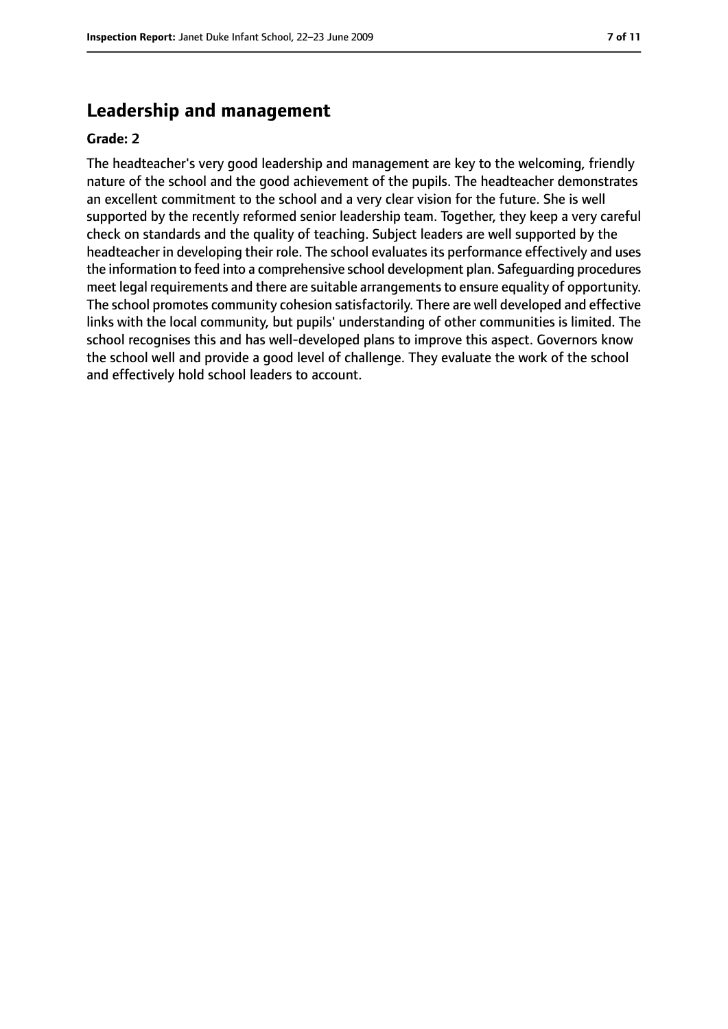## **Leadership and management**

#### **Grade: 2**

The headteacher's very good leadership and management are key to the welcoming, friendly nature of the school and the good achievement of the pupils. The headteacher demonstrates an excellent commitment to the school and a very clear vision for the future. She is well supported by the recently reformed senior leadership team. Together, they keep a very careful check on standards and the quality of teaching. Subject leaders are well supported by the headteacher in developing their role. The school evaluates its performance effectively and uses the information to feed into a comprehensive school development plan. Safeguarding procedures meet legal requirements and there are suitable arrangements to ensure equality of opportunity. The school promotes community cohesion satisfactorily. There are well developed and effective links with the local community, but pupils' understanding of other communities is limited. The school recognises this and has well-developed plans to improve this aspect. Governors know the school well and provide a good level of challenge. They evaluate the work of the school and effectively hold school leaders to account.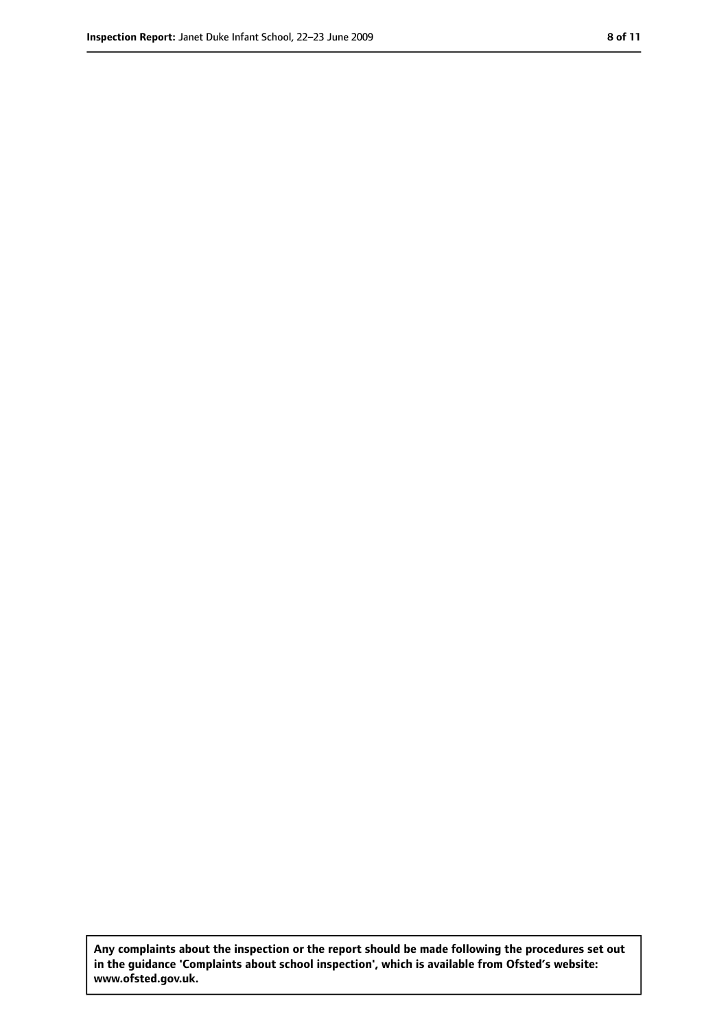**Any complaints about the inspection or the report should be made following the procedures set out in the guidance 'Complaints about school inspection', which is available from Ofsted's website: www.ofsted.gov.uk.**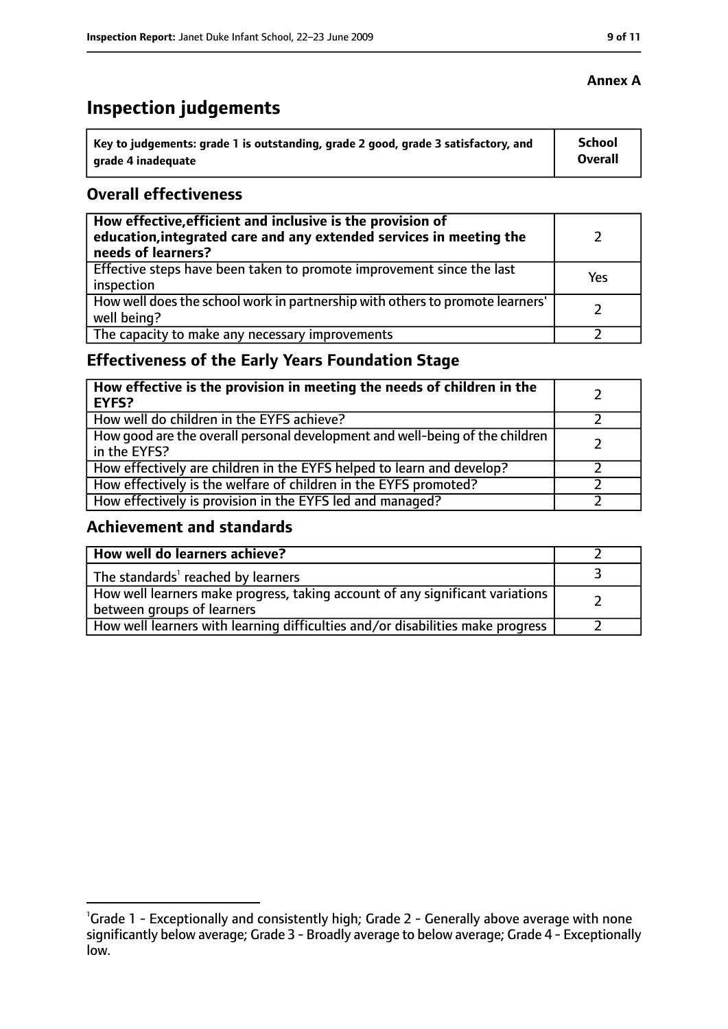# **Inspection judgements**

| key to judgements: grade 1 is outstanding, grade 2 good, grade 3 satisfactory, and ا | School         |
|--------------------------------------------------------------------------------------|----------------|
| arade 4 inadequate                                                                   | <b>Overall</b> |

#### **Overall effectiveness**

| How effective, efficient and inclusive is the provision of<br>education, integrated care and any extended services in meeting the<br>needs of learners? |     |
|---------------------------------------------------------------------------------------------------------------------------------------------------------|-----|
| Effective steps have been taken to promote improvement since the last<br>inspection                                                                     | Yes |
| How well does the school work in partnership with others to promote learners'<br>well being?                                                            |     |
| The capacity to make any necessary improvements                                                                                                         |     |

# **Effectiveness of the Early Years Foundation Stage**

| How effective is the provision in meeting the needs of children in the<br>l EYFS?            |  |
|----------------------------------------------------------------------------------------------|--|
| How well do children in the EYFS achieve?                                                    |  |
| How good are the overall personal development and well-being of the children<br>in the EYFS? |  |
| How effectively are children in the EYFS helped to learn and develop?                        |  |
| How effectively is the welfare of children in the EYFS promoted?                             |  |
| How effectively is provision in the EYFS led and managed?                                    |  |

#### **Achievement and standards**

| How well do learners achieve?                                                  |  |
|--------------------------------------------------------------------------------|--|
| $\vert$ The standards <sup>1</sup> reached by learners                         |  |
| How well learners make progress, taking account of any significant variations  |  |
| between groups of learners                                                     |  |
| How well learners with learning difficulties and/or disabilities make progress |  |

#### **Annex A**

<sup>&</sup>lt;sup>1</sup>Grade 1 - Exceptionally and consistently high; Grade 2 - Generally above average with none significantly below average; Grade 3 - Broadly average to below average; Grade 4 - Exceptionally low.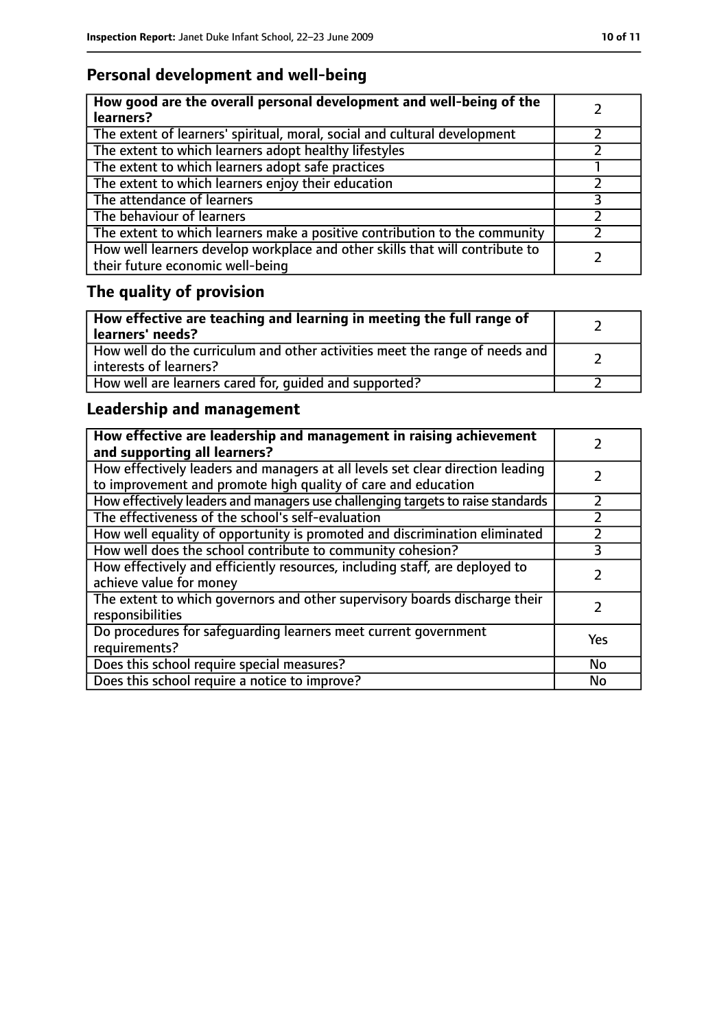# **Personal development and well-being**

| How good are the overall personal development and well-being of the<br>learners?                                 |  |
|------------------------------------------------------------------------------------------------------------------|--|
| The extent of learners' spiritual, moral, social and cultural development                                        |  |
| The extent to which learners adopt healthy lifestyles                                                            |  |
| The extent to which learners adopt safe practices                                                                |  |
| The extent to which learners enjoy their education                                                               |  |
| The attendance of learners                                                                                       |  |
| The behaviour of learners                                                                                        |  |
| The extent to which learners make a positive contribution to the community                                       |  |
| How well learners develop workplace and other skills that will contribute to<br>their future economic well-being |  |

# **The quality of provision**

| How effective are teaching and learning in meeting the full range of<br>learners' needs?              |  |
|-------------------------------------------------------------------------------------------------------|--|
| How well do the curriculum and other activities meet the range of needs and<br>interests of learners? |  |
| How well are learners cared for, quided and supported?                                                |  |

# **Leadership and management**

| How effective are leadership and management in raising achievement<br>and supporting all learners?                                              |     |
|-------------------------------------------------------------------------------------------------------------------------------------------------|-----|
| How effectively leaders and managers at all levels set clear direction leading<br>to improvement and promote high quality of care and education |     |
| How effectively leaders and managers use challenging targets to raise standards                                                                 |     |
| The effectiveness of the school's self-evaluation                                                                                               |     |
| How well equality of opportunity is promoted and discrimination eliminated                                                                      |     |
| How well does the school contribute to community cohesion?                                                                                      | 3   |
| How effectively and efficiently resources, including staff, are deployed to<br>achieve value for money                                          |     |
| The extent to which governors and other supervisory boards discharge their<br>responsibilities                                                  |     |
| Do procedures for safequarding learners meet current government<br>requirements?                                                                | Yes |
| Does this school require special measures?                                                                                                      | No  |
| Does this school require a notice to improve?                                                                                                   | No  |